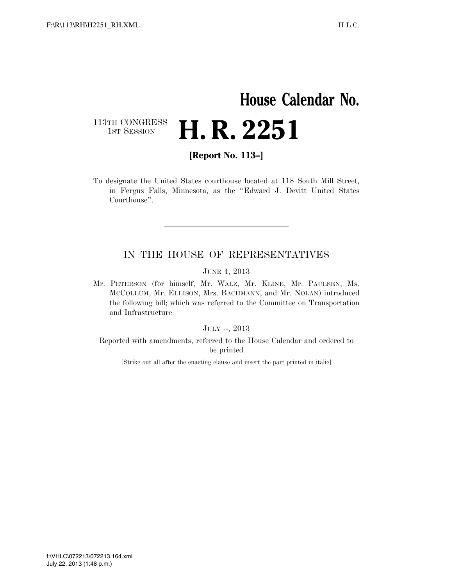# **House Calendar No.** 113TH CONGRESS<br>1st Session **H. R. 2251**

**[Report No. 113–]** 

To designate the United States courthouse located at 118 South Mill Street, in Fergus Falls, Minnesota, as the ''Edward J. Devitt United States Courthouse''.

## IN THE HOUSE OF REPRESENTATIVES

JUNE 4, 2013

Mr. PETERSON (for himself, Mr. WALZ, Mr. KLINE, Mr. PAULSEN, Ms. MCCOLLUM, Mr. ELLISON, Mrs. BACHMANN, and Mr. NOLAN) introduced the following bill; which was referred to the Committee on Transportation and Infrastructure

JULY --, 2013

Reported with amendments, referred to the House Calendar and ordered to be printed

[Strike out all after the enacting clause and insert the part printed in italic]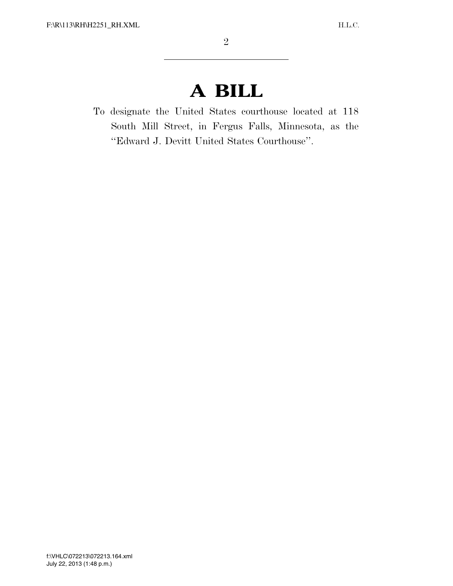# **A BILL**

To designate the United States courthouse located at 118 South Mill Street, in Fergus Falls, Minnesota, as the ''Edward J. Devitt United States Courthouse''.

VerDate 0ct 09 2002 13:48 Jul 22, 2013 Jkt 000000 PO 00000 Frm 00002 Fmt 6652 Sfmt 6652 C:\DOCUME~1\TAMERY~1\APPLIC~1\SOFTQUAD\XMETAL\5.5\GEN\C\H2251\_RH.XML HO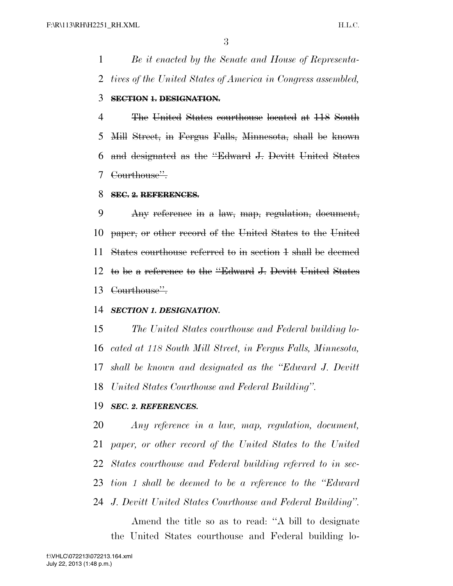*Be it enacted by the Senate and House of Representa-tives of the United States of America in Congress assembled,*

### **SECTION 1. DESIGNATION.**

 The United States courthouse located at 118 South Mill Street, in Fergus Falls, Minnesota, shall be known and designated as the ''Edward J. Devitt United States Courthouse''.

#### **SEC. 2. REFERENCES.**

 Any reference in a law, map, regulation, document, paper, or other record of the United States to the United States courthouse referred to in section 1 shall be deemed to be a reference to the ''Edward J. Devitt United States Courthouse''.

### *SECTION 1. DESIGNATION.*

 *The United States courthouse and Federal building lo- cated at 118 South Mill Street, in Fergus Falls, Minnesota, shall be known and designated as the ''Edward J. Devitt United States Courthouse and Federal Building''.* 

#### *SEC. 2. REFERENCES.*

 *Any reference in a law, map, regulation, document, paper, or other record of the United States to the United States courthouse and Federal building referred to in sec- tion 1 shall be deemed to be a reference to the ''Edward J. Devitt United States Courthouse and Federal Building''.*

Amend the title so as to read: ''A bill to designate the United States courthouse and Federal building lo